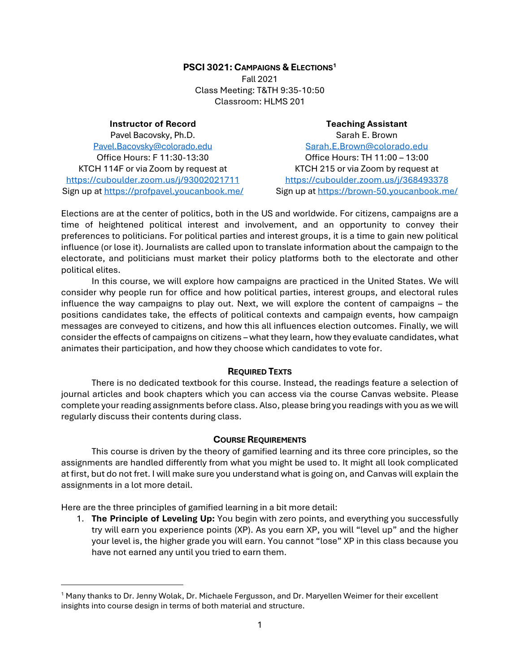# **PSCI 3021: CAMPAIGNS & ELECTIONS<sup>1</sup>**

Fall 2021 Class Meeting: T&TH 9:35-10:50 Classroom: HLMS 201

# **Instructor of Record**

Pavel Bacovsky, Ph.D. [Pavel.Bacovsky@colorado.edu](mailto:Pavel.Bacovsky@colorado.edu) Office Hours: F 11:30-13:30 KTCH 114F or via Zoom by request at <https://cuboulder.zoom.us/j/93002021711> Sign up a[t https://profpavel.youcanbook.me/](https://profpavel.youcanbook.me/)

# **Teaching Assistant** Sarah E. Brown [Sarah.E.Brown@colorado.edu](mailto:Sarah.E.Brown@colorado.edu) Office Hours: TH 11:00 – 13:00 KTCH 215 or via Zoom by request at <https://cuboulder.zoom.us/j/368493378> Sign up at<https://brown-50.youcanbook.me/>

Elections are at the center of politics, both in the US and worldwide. For citizens, campaigns are a time of heightened political interest and involvement, and an opportunity to convey their preferences to politicians. For political parties and interest groups, it is a time to gain new political influence (or lose it). Journalists are called upon to translate information about the campaign to the electorate, and politicians must market their policy platforms both to the electorate and other political elites.

In this course, we will explore how campaigns are practiced in the United States. We will consider why people run for office and how political parties, interest groups, and electoral rules influence the way campaigns to play out. Next, we will explore the content of campaigns – the positions candidates take, the effects of political contexts and campaign events, how campaign messages are conveyed to citizens, and how this all influences election outcomes. Finally, we will consider the effects of campaigns on citizens – what they learn, how they evaluate candidates, what animates their participation, and how they choose which candidates to vote for.

# **REQUIRED TEXTS**

There is no dedicated textbook for this course. Instead, the readings feature a selection of journal articles and book chapters which you can access via the course Canvas website. Please complete your reading assignments before class. Also, please bring you readings with you as we will regularly discuss their contents during class.

# **COURSE REQUIREMENTS**

This course is driven by the theory of gamified learning and its three core principles, so the assignments are handled differently from what you might be used to. It might all look complicated at first, but do not fret. I will make sure you understand what is going on, and Canvas will explain the assignments in a lot more detail.

Here are the three principles of gamified learning in a bit more detail:

1. **The Principle of Leveling Up:** You begin with zero points, and everything you successfully try will earn you experience points (XP). As you earn XP, you will "level up" and the higher your level is, the higher grade you will earn. You cannot "lose" XP in this class because you have not earned any until you tried to earn them.

<sup>1</sup> Many thanks to Dr. Jenny Wolak, Dr. Michaele Fergusson, and Dr. Maryellen Weimer for their excellent insights into course design in terms of both material and structure.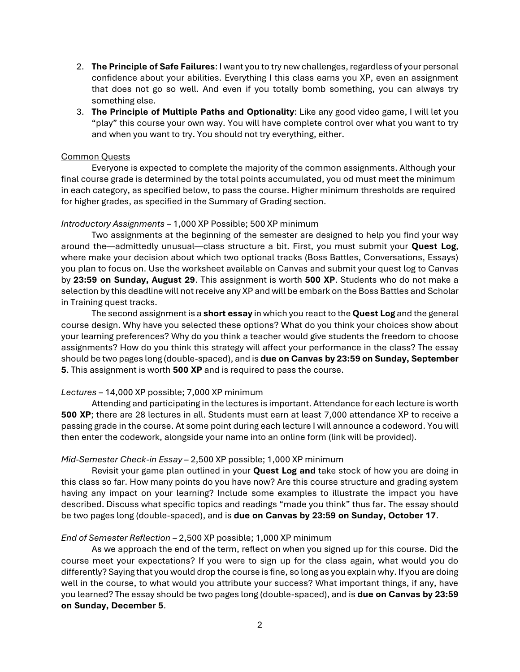- 2. **The Principle of Safe Failures**: I want you to try new challenges, regardless of your personal confidence about your abilities. Everything I this class earns you XP, even an assignment that does not go so well. And even if you totally bomb something, you can always try something else.
- 3. **The Principle of Multiple Paths and Optionality**: Like any good video game, I will let you "play" this course your own way. You will have complete control over what you want to try and when you want to try. You should not try everything, either.

#### Common Quests

Everyone is expected to complete the majority of the common assignments. Although your final course grade is determined by the total points accumulated, you od must meet the minimum in each category, as specified below, to pass the course. Higher minimum thresholds are required for higher grades, as specified in the Summary of Grading section.

#### *Introductory Assignments* – 1,000 XP Possible; 500 XP minimum

Two assignments at the beginning of the semester are designed to help you find your way around the—admittedly unusual—class structure a bit. First, you must submit your **Quest Log**, where make your decision about which two optional tracks (Boss Battles, Conversations, Essays) you plan to focus on. Use the worksheet available on Canvas and submit your quest log to Canvas by **23:59 on Sunday, August 29**. This assignment is worth **500 XP**. Students who do not make a selection by this deadline will not receive any XP and will be embark on the Boss Battles and Scholar in Training quest tracks.

The second assignment is a **short essay** in which you react to the **Quest Log** and the general course design. Why have you selected these options? What do you think your choices show about your learning preferences? Why do you think a teacher would give students the freedom to choose assignments? How do you think this strategy will affect your performance in the class? The essay should be two pages long (double-spaced), and is **due on Canvas by 23:59 on Sunday, September 5**. This assignment is worth **500 XP** and is required to pass the course.

## *Lectures* – 14,000 XP possible; 7,000 XP minimum

Attending and participating in the lectures is important. Attendance for each lecture is worth **500 XP**; there are 28 lectures in all. Students must earn at least 7,000 attendance XP to receive a passing grade in the course. At some point during each lecture I will announce a codeword. You will then enter the codework, alongside your name into an online form (link will be provided).

#### *Mid-Semester Check-in Essay* – 2,500 XP possible; 1,000 XP minimum

Revisit your game plan outlined in your **Quest Log and** take stock of how you are doing in this class so far. How many points do you have now? Are this course structure and grading system having any impact on your learning? Include some examples to illustrate the impact you have described. Discuss what specific topics and readings "made you think" thus far. The essay should be two pages long (double-spaced), and is **due on Canvas by 23:59 on Sunday, October 17**.

#### *End of Semester Reflection* – 2,500 XP possible; 1,000 XP minimum

As we approach the end of the term, reflect on when you signed up for this course. Did the course meet your expectations? If you were to sign up for the class again, what would you do differently? Saying that you would drop the course is fine, so long as you explain why. If you are doing well in the course, to what would you attribute your success? What important things, if any, have you learned? The essay should be two pages long (double-spaced), and is **due on Canvas by 23:59 on Sunday, December 5**.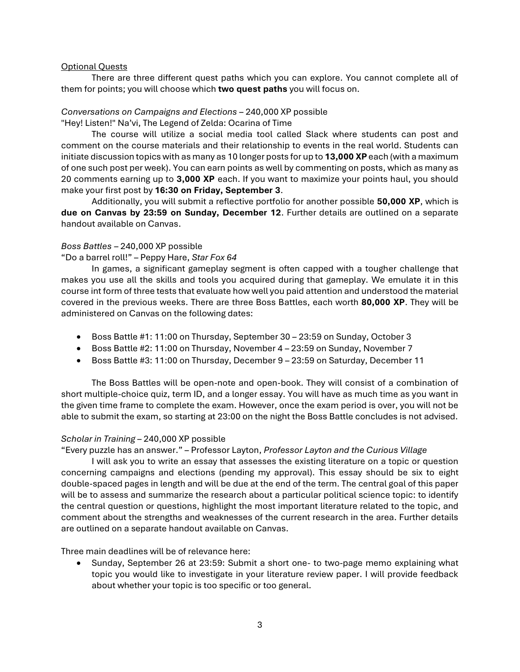# Optional Quests

There are three different quest paths which you can explore. You cannot complete all of them for points; you will choose which **two quest paths** you will focus on.

# *Conversations on Campaigns and Elections* – 240,000 XP possible

"Hey! Listen!" Na'vi, The Legend of Zelda: Ocarina of Time

The course will utilize a social media tool called Slack where students can post and comment on the course materials and their relationship to events in the real world. Students can initiate discussion topics with as many as 10 longer posts for up to **13,000 XP** each (with a maximum of one such post per week). You can earn points as well by commenting on posts, which as many as 20 comments earning up to **3,000 XP** each. If you want to maximize your points haul, you should make your first post by **16:30 on Friday, September 3**.

Additionally, you will submit a reflective portfolio for another possible **50,000 XP**, which is **due on Canvas by 23:59 on Sunday, December 12**. Further details are outlined on a separate handout available on Canvas.

# *Boss Battles* – 240,000 XP possible

"Do a barrel roll!" – Peppy Hare, *Star Fox 64*

In games, a significant gameplay segment is often capped with a tougher challenge that makes you use all the skills and tools you acquired during that gameplay. We emulate it in this course int form of three tests that evaluate how well you paid attention and understood the material covered in the previous weeks. There are three Boss Battles, each worth **80,000 XP**. They will be administered on Canvas on the following dates:

- Boss Battle #1: 11:00 on Thursday, September 30 23:59 on Sunday, October 3
- Boss Battle #2: 11:00 on Thursday, November 4 23:59 on Sunday, November 7
- Boss Battle #3: 11:00 on Thursday, December 9 23:59 on Saturday, December 11

The Boss Battles will be open-note and open-book. They will consist of a combination of short multiple-choice quiz, term ID, and a longer essay. You will have as much time as you want in the given time frame to complete the exam. However, once the exam period is over, you will not be able to submit the exam, so starting at 23:00 on the night the Boss Battle concludes is not advised.

## *Scholar in Training* – 240,000 XP possible

"Every puzzle has an answer." – Professor Layton, *Professor Layton and the Curious Village*

I will ask you to write an essay that assesses the existing literature on a topic or question concerning campaigns and elections (pending my approval). This essay should be six to eight double-spaced pages in length and will be due at the end of the term. The central goal of this paper will be to assess and summarize the research about a particular political science topic: to identify the central question or questions, highlight the most important literature related to the topic, and comment about the strengths and weaknesses of the current research in the area. Further details are outlined on a separate handout available on Canvas.

Three main deadlines will be of relevance here:

• Sunday, September 26 at 23:59: Submit a short one- to two-page memo explaining what topic you would like to investigate in your literature review paper. I will provide feedback about whether your topic is too specific or too general.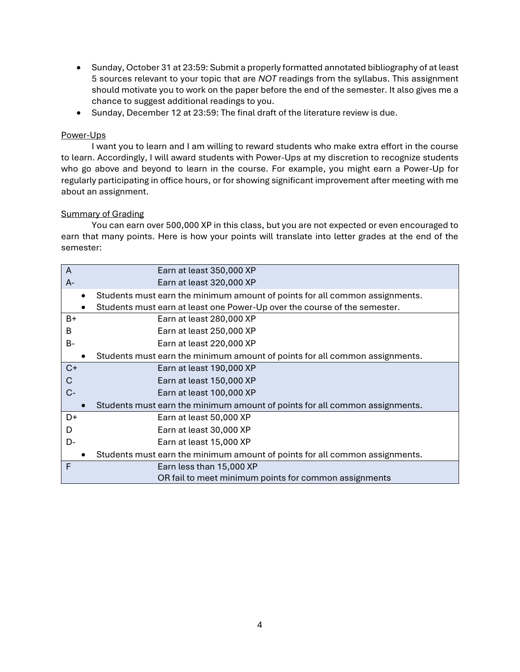- Sunday, October 31 at 23:59: Submit a properly formatted annotated bibliography of at least 5 sources relevant to your topic that are *NOT* readings from the syllabus. This assignment should motivate you to work on the paper before the end of the semester. It also gives me a chance to suggest additional readings to you.
- Sunday, December 12 at 23:59: The final draft of the literature review is due.

# Power-Ups

I want you to learn and I am willing to reward students who make extra effort in the course to learn. Accordingly, I will award students with Power-Ups at my discretion to recognize students who go above and beyond to learn in the course. For example, you might earn a Power-Up for regularly participating in office hours, or for showing significant improvement after meeting with me about an assignment.

# Summary of Grading

You can earn over 500,000 XP in this class, but you are not expected or even encouraged to earn that many points. Here is how your points will translate into letter grades at the end of the semester:

| A         | Earn at least 350,000 XP                                                    |
|-----------|-----------------------------------------------------------------------------|
| $A -$     | Earn at least 320,000 XP                                                    |
|           | Students must earn the minimum amount of points for all common assignments. |
|           | Students must earn at least one Power-Up over the course of the semester.   |
| B+        | Earn at least 280,000 XP                                                    |
| B         | Earn at least 250,000 XP                                                    |
| <b>B-</b> | Earn at least 220,000 XP                                                    |
|           | Students must earn the minimum amount of points for all common assignments. |
| $C+$      | Earn at least 190,000 XP                                                    |
| C         | Earn at least 150,000 XP                                                    |
| $C-$      | Earn at least 100,000 XP                                                    |
|           | Students must earn the minimum amount of points for all common assignments. |
| D+        | Earn at least 50,000 XP                                                     |
| D         | Earn at least 30,000 XP                                                     |
| D-        | Earn at least 15,000 XP                                                     |
|           | Students must earn the minimum amount of points for all common assignments. |
| F         | Earn less than 15,000 XP                                                    |
|           | OR fail to meet minimum points for common assignments                       |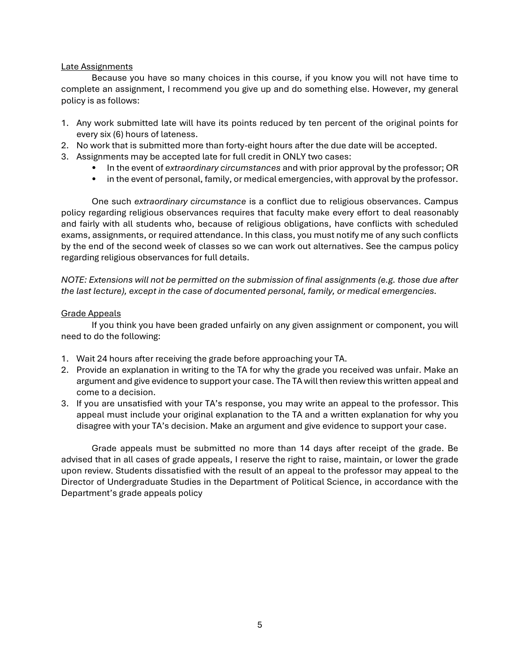# Late Assignments

Because you have so many choices in this course, if you know you will not have time to complete an assignment, I recommend you give up and do something else. However, my general policy is as follows:

- 1. Any work submitted late will have its points reduced by ten percent of the original points for every six (6) hours of lateness.
- 2. No work that is submitted more than forty-eight hours after the due date will be accepted.
- 3. Assignments may be accepted late for full credit in ONLY two cases:
	- In the event of *extraordinary circumstances* and with prior approval by the professor; OR
	- in the event of personal, family, or medical emergencies, with approval by the professor.

One such *extraordinary circumstance* is a conflict due to religious observances. Campus policy regarding religious observances requires that faculty make every effort to deal reasonably and fairly with all students who, because of religious obligations, have conflicts with scheduled exams, assignments, or required attendance. In this class, you must notify me of any such conflicts by the end of the second week of classes so we can work out alternatives. See the campus policy regarding religious observances for full details.

*NOTE: Extensions will not be permitted on the submission of final assignments (e.g. those due after the last lecture), except in the case of documented personal, family, or medical emergencies.*

# Grade Appeals

If you think you have been graded unfairly on any given assignment or component, you will need to do the following:

- 1. Wait 24 hours after receiving the grade before approaching your TA.
- 2. Provide an explanation in writing to the TA for why the grade you received was unfair. Make an argument and give evidence to support your case. The TA will then review this written appeal and come to a decision.
- 3. If you are unsatisfied with your TA's response, you may write an appeal to the professor. This appeal must include your original explanation to the TA and a written explanation for why you disagree with your TA's decision. Make an argument and give evidence to support your case.

Grade appeals must be submitted no more than 14 days after receipt of the grade. Be advised that in all cases of grade appeals, I reserve the right to raise, maintain, or lower the grade upon review. Students dissatisfied with the result of an appeal to the professor may appeal to the Director of Undergraduate Studies in the Department of Political Science, in accordance with the Department's grade appeals policy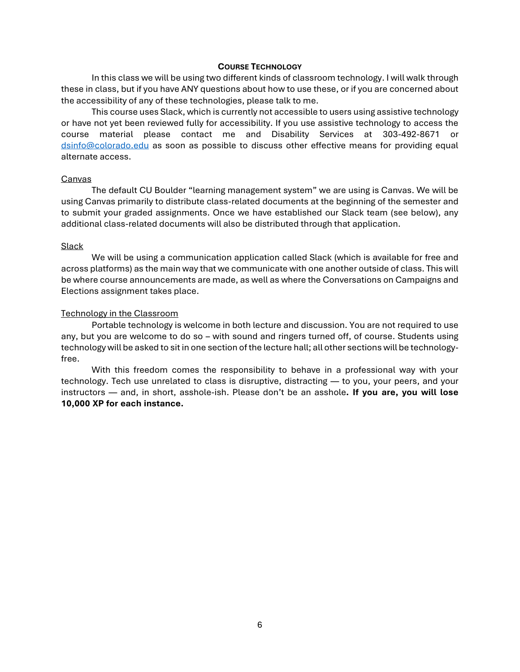#### **COURSE TECHNOLOGY**

In this class we will be using two different kinds of classroom technology. I will walk through these in class, but if you have ANY questions about how to use these, or if you are concerned about the accessibility of any of these technologies, please talk to me.

This course uses Slack, which is currently not accessible to users using assistive technology or have not yet been reviewed fully for accessibility. If you use assistive technology to access the course material please contact me and Disability Services at 303-492-8671 or [dsinfo@colorado.edu](mailto:dsinfo@colorado.edu) as soon as possible to discuss other effective means for providing equal alternate access.

#### Canvas

The default CU Boulder "learning management system" we are using is Canvas. We will be using Canvas primarily to distribute class-related documents at the beginning of the semester and to submit your graded assignments. Once we have established our Slack team (see below), any additional class-related documents will also be distributed through that application.

#### **Slack**

We will be using a communication application called Slack (which is available for free and across platforms) as the main way that we communicate with one another outside of class. This will be where course announcements are made, as well as where the Conversations on Campaigns and Elections assignment takes place.

## Technology in the Classroom

Portable technology is welcome in both lecture and discussion. You are not required to use any, but you are welcome to do so – with sound and ringers turned off, of course. Students using technology will be asked to sit in one section of the lecture hall; all other sections will be technologyfree.

With this freedom comes the responsibility to behave in a professional way with your technology. Tech use unrelated to class is disruptive, distracting — to you, your peers, and your instructors — and, in short, asshole-ish. Please don't be an asshole**. If you are, you will lose 10,000 XP for each instance.**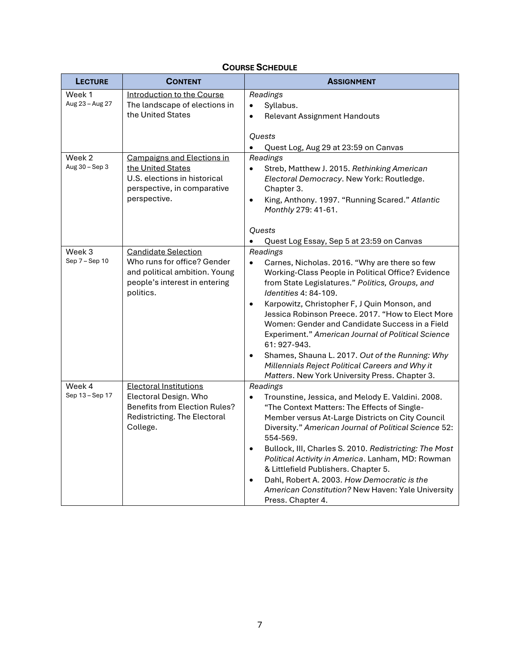| <b>LECTURE</b>            | <b>CONTENT</b>                                                                                                                             | <b>ASSIGNMENT</b>                                                                                                                                                                                                                                                                                                                                                                                                                                                                                                                                                                                                              |
|---------------------------|--------------------------------------------------------------------------------------------------------------------------------------------|--------------------------------------------------------------------------------------------------------------------------------------------------------------------------------------------------------------------------------------------------------------------------------------------------------------------------------------------------------------------------------------------------------------------------------------------------------------------------------------------------------------------------------------------------------------------------------------------------------------------------------|
| Week 1<br>Aug 23 - Aug 27 | Introduction to the Course<br>The landscape of elections in<br>the United States                                                           | Readings<br>Syllabus.<br>$\bullet$<br><b>Relevant Assignment Handouts</b><br>$\bullet$<br><b>Ouests</b><br>Quest Log, Aug 29 at 23:59 on Canvas                                                                                                                                                                                                                                                                                                                                                                                                                                                                                |
| Week 2<br>Aug 30 - Sep 3  | <b>Campaigns and Elections in</b><br>the United States<br>U.S. elections in historical<br>perspective, in comparative<br>perspective.      | Readings<br>Streb, Matthew J. 2015. Rethinking American<br>$\bullet$<br>Electoral Democracy. New York: Routledge.<br>Chapter 3.<br>King, Anthony. 1997. "Running Scared." Atlantic<br>$\bullet$<br>Monthly 279: 41-61.                                                                                                                                                                                                                                                                                                                                                                                                         |
|                           |                                                                                                                                            | <b>Quests</b><br>$\bullet$<br>Quest Log Essay, Sep 5 at 23:59 on Canvas                                                                                                                                                                                                                                                                                                                                                                                                                                                                                                                                                        |
| Week 3<br>Sep 7 - Sep 10  | <b>Candidate Selection</b><br>Who runs for office? Gender<br>and political ambition. Young<br>people's interest in entering<br>politics.   | Readings<br>$\bullet$<br>Carnes, Nicholas. 2016. "Why are there so few<br>Working-Class People in Political Office? Evidence<br>from State Legislatures." Politics, Groups, and<br><i>Identities 4: 84-109.</i><br>Karpowitz, Christopher F, J Quin Monson, and<br>$\bullet$<br>Jessica Robinson Preece. 2017. "How to Elect More<br>Women: Gender and Candidate Success in a Field<br>Experiment." American Journal of Political Science<br>61: 927-943.<br>Shames, Shauna L. 2017. Out of the Running: Why<br>$\bullet$<br>Millennials Reject Political Careers and Why it<br>Matters. New York University Press. Chapter 3. |
| Week 4<br>Sep 13 - Sep 17 | <b>Electoral Institutions</b><br>Electoral Design. Who<br><b>Benefits from Election Rules?</b><br>Redistricting. The Electoral<br>College. | Readings<br>Trounstine, Jessica, and Melody E. Valdini. 2008.<br>$\bullet$<br>"The Context Matters: The Effects of Single-<br>Member versus At-Large Districts on City Council<br>Diversity." American Journal of Political Science 52:<br>554-569.<br>Bullock, III, Charles S. 2010. Redistricting: The Most<br>$\bullet$<br>Political Activity in America. Lanham, MD: Rowman<br>& Littlefield Publishers. Chapter 5.<br>Dahl, Robert A. 2003. How Democratic is the<br>$\bullet$<br>American Constitution? New Haven: Yale University<br>Press. Chapter 4.                                                                  |

# **COURSE SCHEDULE**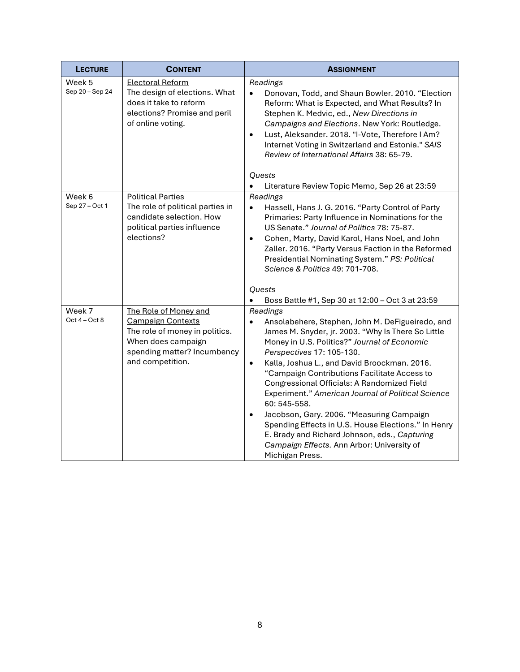| <b>LECTURE</b>            | <b>CONTENT</b>                                                                                                                                               | <b>ASSIGNMENT</b>                                                                                                                                                                                                                                                                                                                                                                                                                                                                                                                                                                                                                                                                                                                                  |
|---------------------------|--------------------------------------------------------------------------------------------------------------------------------------------------------------|----------------------------------------------------------------------------------------------------------------------------------------------------------------------------------------------------------------------------------------------------------------------------------------------------------------------------------------------------------------------------------------------------------------------------------------------------------------------------------------------------------------------------------------------------------------------------------------------------------------------------------------------------------------------------------------------------------------------------------------------------|
| Week 5<br>Sep 20 - Sep 24 | <b>Electoral Reform</b><br>The design of elections. What<br>does it take to reform<br>elections? Promise and peril<br>of online voting.                      | Readings<br>Donovan, Todd, and Shaun Bowler. 2010. "Election<br>$\bullet$<br>Reform: What is Expected, and What Results? In<br>Stephen K. Medvic, ed., New Directions in<br>Campaigns and Elections. New York: Routledge.<br>Lust, Aleksander. 2018. "I-Vote, Therefore I Am?<br>$\bullet$<br>Internet Voting in Switzerland and Estonia." SAIS<br>Review of International Affairs 38: 65-79.<br><b>Quests</b><br>$\bullet$<br>Literature Review Topic Memo, Sep 26 at 23:59                                                                                                                                                                                                                                                                       |
| Week 6<br>Sep 27 - Oct 1  | <b>Political Parties</b><br>The role of political parties in<br>candidate selection. How<br>political parties influence<br>elections?                        | Readings<br>$\bullet$<br>Hassell, Hans J. G. 2016. "Party Control of Party<br>Primaries: Party Influence in Nominations for the<br>US Senate." Journal of Politics 78: 75-87.<br>Cohen, Marty, David Karol, Hans Noel, and John<br>$\bullet$<br>Zaller. 2016. "Party Versus Faction in the Reformed<br>Presidential Nominating System." PS: Political<br>Science & Politics 49: 701-708.<br>Quests                                                                                                                                                                                                                                                                                                                                                 |
| Week 7<br>Oct $4 - Oct 8$ | The Role of Money and<br><b>Campaign Contexts</b><br>The role of money in politics.<br>When does campaign<br>spending matter? Incumbency<br>and competition. | Boss Battle #1, Sep 30 at 12:00 - Oct 3 at 23:59<br>$\bullet$<br>Readings<br>Ansolabehere, Stephen, John M. DeFigueiredo, and<br>$\bullet$<br>James M. Snyder, jr. 2003. "Why Is There So Little<br>Money in U.S. Politics?" Journal of Economic<br>Perspectives 17: 105-130.<br>Kalla, Joshua L., and David Broockman. 2016.<br>$\bullet$<br>"Campaign Contributions Facilitate Access to<br>Congressional Officials: A Randomized Field<br>Experiment." American Journal of Political Science<br>60: 545-558.<br>Jacobson, Gary. 2006. "Measuring Campaign<br>$\bullet$<br>Spending Effects in U.S. House Elections." In Henry<br>E. Brady and Richard Johnson, eds., Capturing<br>Campaign Effects. Ann Arbor: University of<br>Michigan Press. |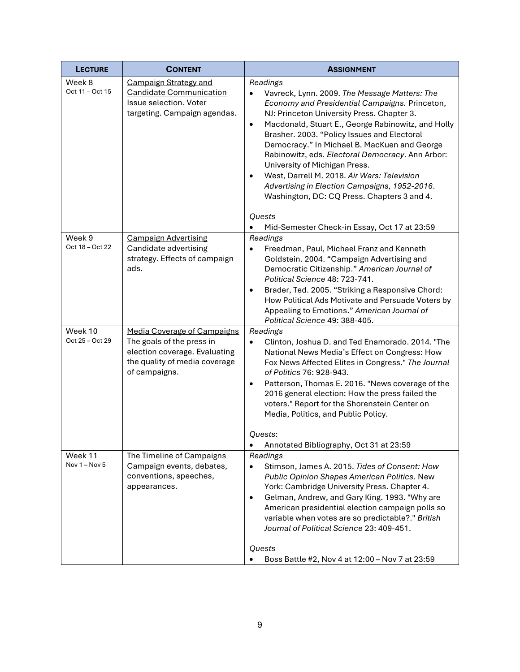| <b>LECTURE</b>             | <b>CONTENT</b>                                                                                                                                     | <b>ASSIGNMENT</b>                                                                                                                                                                                                                                                                                                                                                                                                                                                                                                                                                                                   |
|----------------------------|----------------------------------------------------------------------------------------------------------------------------------------------------|-----------------------------------------------------------------------------------------------------------------------------------------------------------------------------------------------------------------------------------------------------------------------------------------------------------------------------------------------------------------------------------------------------------------------------------------------------------------------------------------------------------------------------------------------------------------------------------------------------|
| Week 8<br>Oct 11 - Oct 15  | <b>Campaign Strategy and</b><br><b>Candidate Communication</b><br>Issue selection. Voter<br>targeting. Campaign agendas.                           | Readings<br>Vavreck, Lynn. 2009. The Message Matters: The<br>$\bullet$<br>Economy and Presidential Campaigns. Princeton,<br>NJ: Princeton University Press. Chapter 3.<br>Macdonald, Stuart E., George Rabinowitz, and Holly<br>$\bullet$<br>Brasher. 2003. "Policy Issues and Electoral<br>Democracy." In Michael B. MacKuen and George<br>Rabinowitz, eds. Electoral Democracy. Ann Arbor:<br>University of Michigan Press.<br>West, Darrell M. 2018. Air Wars: Television<br>$\bullet$<br>Advertising in Election Campaigns, 1952-2016.<br>Washington, DC: CQ Press. Chapters 3 and 4.<br>Quests |
| Week 9<br>Oct 18 - Oct 22  | <b>Campaign Advertising</b><br>Candidate advertising<br>strategy. Effects of campaign<br>ads.                                                      | Mid-Semester Check-in Essay, Oct 17 at 23:59<br>Readings<br>Freedman, Paul, Michael Franz and Kenneth<br>Goldstein. 2004. "Campaign Advertising and<br>Democratic Citizenship." American Journal of<br>Political Science 48: 723-741.<br>Brader, Ted. 2005. "Striking a Responsive Chord:<br>$\bullet$<br>How Political Ads Motivate and Persuade Voters by<br>Appealing to Emotions." American Journal of<br>Political Science 49: 388-405.                                                                                                                                                        |
| Week 10<br>Oct 25 - Oct 29 | <b>Media Coverage of Campaigns</b><br>The goals of the press in<br>election coverage. Evaluating<br>the quality of media coverage<br>of campaigns. | Readings<br>Clinton, Joshua D. and Ted Enamorado. 2014. "The<br>$\bullet$<br>National News Media's Effect on Congress: How<br>Fox News Affected Elites in Congress." The Journal<br>of Politics 76: 928-943.<br>Patterson, Thomas E. 2016. "News coverage of the<br>$\bullet$<br>2016 general election: How the press failed the<br>voters." Report for the Shorenstein Center on<br>Media, Politics, and Public Policy.<br>Quests:                                                                                                                                                                 |
| Week 11<br>Nov $1 -$ Nov 5 | The Timeline of Campaigns<br>Campaign events, debates,<br>conventions, speeches,<br>appearances.                                                   | Annotated Bibliography, Oct 31 at 23:59<br>$\bullet$<br>Readings<br>Stimson, James A. 2015. Tides of Consent: How<br>$\bullet$<br>Public Opinion Shapes American Politics. New<br>York: Cambridge University Press. Chapter 4.<br>Gelman, Andrew, and Gary King. 1993. "Why are<br>$\bullet$<br>American presidential election campaign polls so<br>variable when votes are so predictable?." British<br>Journal of Political Science 23: 409-451.<br>Quests<br>Boss Battle #2, Nov 4 at 12:00 - Nov 7 at 23:59                                                                                     |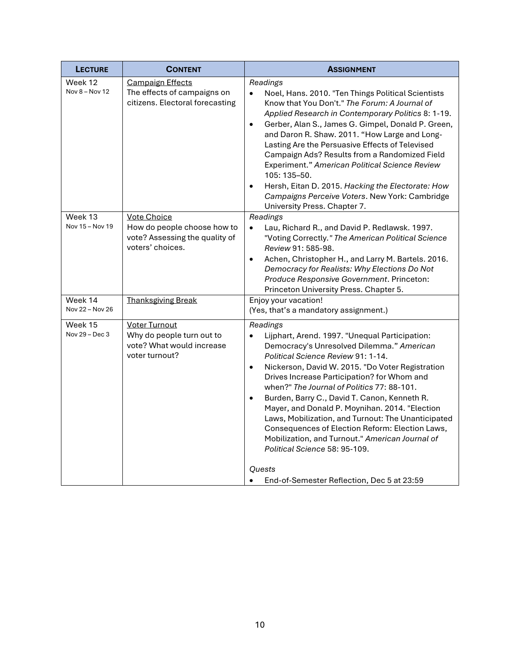| <b>LECTURE</b>             | <b>CONTENT</b>                                                                                          | <b>ASSIGNMENT</b>                                                                                                                                                                                                                                                                                                                                                                                                                                                                                                                                                                                                                              |
|----------------------------|---------------------------------------------------------------------------------------------------------|------------------------------------------------------------------------------------------------------------------------------------------------------------------------------------------------------------------------------------------------------------------------------------------------------------------------------------------------------------------------------------------------------------------------------------------------------------------------------------------------------------------------------------------------------------------------------------------------------------------------------------------------|
| Week 12<br>Nov 8 - Nov 12  | <b>Campaign Effects</b><br>The effects of campaigns on<br>citizens. Electoral forecasting               | Readings<br>Noel, Hans. 2010. "Ten Things Political Scientists<br>$\bullet$<br>Know that You Don't." The Forum: A Journal of<br>Applied Research in Contemporary Politics 8: 1-19.<br>Gerber, Alan S., James G. Gimpel, Donald P. Green,<br>$\bullet$<br>and Daron R. Shaw. 2011. "How Large and Long-<br>Lasting Are the Persuasive Effects of Televised<br>Campaign Ads? Results from a Randomized Field<br>Experiment." American Political Science Review<br>105: 135-50.<br>Hersh, Eitan D. 2015. Hacking the Electorate: How<br>$\bullet$<br>Campaigns Perceive Voters. New York: Cambridge<br>University Press. Chapter 7.               |
| Week 13<br>Nov 15 - Nov 19 | <b>Vote Choice</b><br>How do people choose how to<br>vote? Assessing the quality of<br>voters' choices. | Readings<br>$\bullet$<br>Lau, Richard R., and David P. Redlawsk. 1997.<br>"Voting Correctly." The American Political Science<br>Review 91: 585-98.<br>Achen, Christopher H., and Larry M. Bartels. 2016.<br>$\bullet$<br>Democracy for Realists: Why Elections Do Not<br>Produce Responsive Government. Princeton:<br>Princeton University Press. Chapter 5.                                                                                                                                                                                                                                                                                   |
| Week 14<br>Nov 22 - Nov 26 | <b>Thanksgiving Break</b>                                                                               | Enjoy your vacation!<br>(Yes, that's a mandatory assignment.)                                                                                                                                                                                                                                                                                                                                                                                                                                                                                                                                                                                  |
| Week 15<br>Nov 29 - Dec 3  | <b>Voter Turnout</b><br>Why do people turn out to<br>vote? What would increase<br>voter turnout?        | Readings<br>$\bullet$<br>Lijphart, Arend. 1997. "Unequal Participation:<br>Democracy's Unresolved Dilemma." American<br>Political Science Review 91: 1-14.<br>Nickerson, David W. 2015. "Do Voter Registration<br>$\bullet$<br>Drives Increase Participation? for Whom and<br>when?" The Journal of Politics 77: 88-101.<br>Burden, Barry C., David T. Canon, Kenneth R.<br>$\bullet$<br>Mayer, and Donald P. Moynihan. 2014. "Election<br>Laws, Mobilization, and Turnout: The Unanticipated<br>Consequences of Election Reform: Election Laws,<br>Mobilization, and Turnout." American Journal of<br>Political Science 58: 95-109.<br>Quests |
|                            |                                                                                                         | End-of-Semester Reflection, Dec 5 at 23:59                                                                                                                                                                                                                                                                                                                                                                                                                                                                                                                                                                                                     |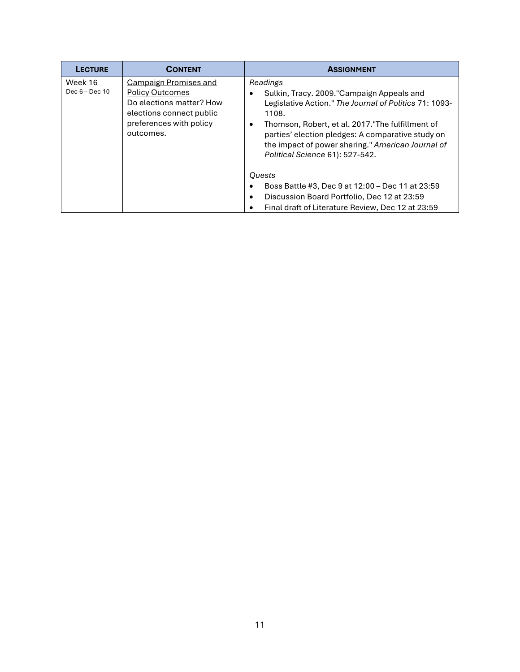| <b>LECTURE</b>              | <b>CONTENT</b>                                                                                                                                         | <b>ASSIGNMENT</b>                                                                                                                                                                                                                                                                                                                   |
|-----------------------------|--------------------------------------------------------------------------------------------------------------------------------------------------------|-------------------------------------------------------------------------------------------------------------------------------------------------------------------------------------------------------------------------------------------------------------------------------------------------------------------------------------|
| Week 16<br>Dec $6 - Dec 10$ | <b>Campaign Promises and</b><br><b>Policy Outcomes</b><br>Do elections matter? How<br>elections connect public<br>preferences with policy<br>outcomes. | Readings<br>Sulkin, Tracy. 2009."Campaign Appeals and<br>٠<br>Legislative Action." The Journal of Politics 71: 1093-<br>1108.<br>Thomson, Robert, et al. 2017."The fulfillment of<br>٠<br>parties' election pledges: A comparative study on<br>the impact of power sharing." American Journal of<br>Political Science 61): 527-542. |
|                             |                                                                                                                                                        | <b>Quests</b>                                                                                                                                                                                                                                                                                                                       |
|                             |                                                                                                                                                        | Boss Battle #3, Dec 9 at 12:00 - Dec 11 at 23:59<br>٠                                                                                                                                                                                                                                                                               |
|                             |                                                                                                                                                        | Discussion Board Portfolio, Dec 12 at 23:59<br>$\bullet$                                                                                                                                                                                                                                                                            |
|                             |                                                                                                                                                        | Final draft of Literature Review, Dec 12 at 23:59<br>٠                                                                                                                                                                                                                                                                              |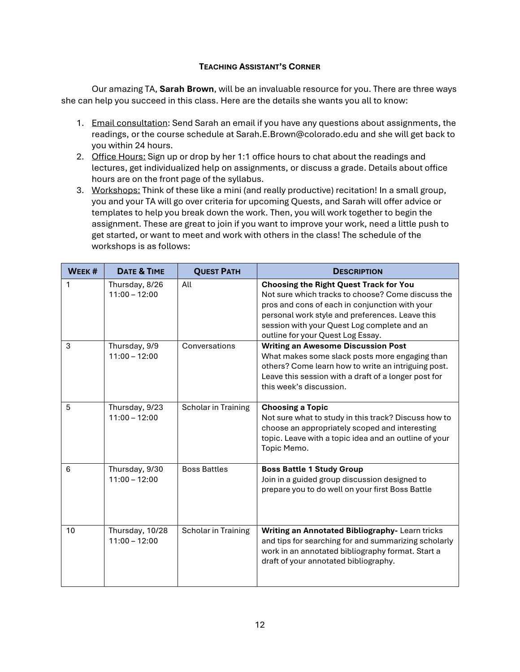# **TEACHING ASSISTANT'S CORNER**

Our amazing TA, **Sarah Brown**, will be an invaluable resource for you. There are three ways she can help you succeed in this class. Here are the details she wants you all to know:

- 1. Email consultation: Send Sarah an email if you have any questions about assignments, the readings, or the course schedule at Sarah.E.Brown@colorado.edu and she will get back to you within 24 hours.
- 2. Office Hours: Sign up or drop by her 1:1 office hours to chat about the readings and lectures, get individualized help on assignments, or discuss a grade. Details about office hours are on the front page of the syllabus.
- 3. Workshops: Think of these like a mini (and really productive) recitation! In a small group, you and your TA will go over criteria for upcoming Quests, and Sarah will offer advice or templates to help you break down the work. Then, you will work together to begin the assignment. These are great to join if you want to improve your work, need a little push to get started, or want to meet and work with others in the class! The schedule of the workshops is as follows:

| WEEK # | <b>DATE &amp; TIME</b>             | <b>QUEST PATH</b>   | <b>DESCRIPTION</b>                                                                                                                                                                                                                                                                          |
|--------|------------------------------------|---------------------|---------------------------------------------------------------------------------------------------------------------------------------------------------------------------------------------------------------------------------------------------------------------------------------------|
| 1      | Thursday, 8/26<br>$11:00 - 12:00$  | All                 | <b>Choosing the Right Quest Track for You</b><br>Not sure which tracks to choose? Come discuss the<br>pros and cons of each in conjunction with your<br>personal work style and preferences. Leave this<br>session with your Quest Log complete and an<br>outline for your Quest Log Essay. |
| 3      | Thursday, 9/9<br>$11:00 - 12:00$   | Conversations       | <b>Writing an Awesome Discussion Post</b><br>What makes some slack posts more engaging than<br>others? Come learn how to write an intriguing post.<br>Leave this session with a draft of a longer post for<br>this week's discussion.                                                       |
| 5      | Thursday, 9/23<br>$11:00 - 12:00$  | Scholar in Training | <b>Choosing a Topic</b><br>Not sure what to study in this track? Discuss how to<br>choose an appropriately scoped and interesting<br>topic. Leave with a topic idea and an outline of your<br>Topic Memo.                                                                                   |
| 6      | Thursday, 9/30<br>$11:00 - 12:00$  | <b>Boss Battles</b> | <b>Boss Battle 1 Study Group</b><br>Join in a guided group discussion designed to<br>prepare you to do well on your first Boss Battle                                                                                                                                                       |
| 10     | Thursday, 10/28<br>$11:00 - 12:00$ | Scholar in Training | Writing an Annotated Bibliography- Learn tricks<br>and tips for searching for and summarizing scholarly<br>work in an annotated bibliography format. Start a<br>draft of your annotated bibliography.                                                                                       |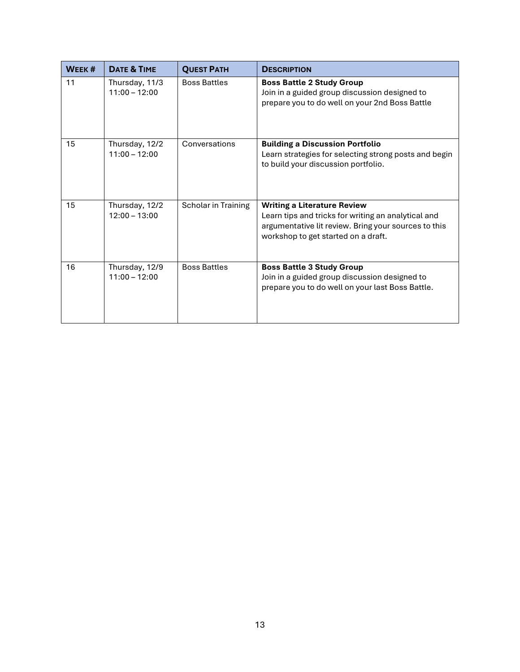| WEEK # | DATE & TIME                       | <b>QUEST PATH</b>   | <b>DESCRIPTION</b>                                                                                                                                                                       |
|--------|-----------------------------------|---------------------|------------------------------------------------------------------------------------------------------------------------------------------------------------------------------------------|
| 11     | Thursday, 11/3<br>$11:00 - 12:00$ | <b>Boss Battles</b> | <b>Boss Battle 2 Study Group</b><br>Join in a guided group discussion designed to<br>prepare you to do well on your 2nd Boss Battle                                                      |
| 15     | Thursday, 12/2<br>$11:00 - 12:00$ | Conversations       | <b>Building a Discussion Portfolio</b><br>Learn strategies for selecting strong posts and begin<br>to build your discussion portfolio.                                                   |
| 15     | Thursday, 12/2<br>$12:00 - 13:00$ | Scholar in Training | <b>Writing a Literature Review</b><br>Learn tips and tricks for writing an analytical and<br>argumentative lit review. Bring your sources to this<br>workshop to get started on a draft. |
| 16     | Thursday, 12/9<br>$11:00 - 12:00$ | <b>Boss Battles</b> | <b>Boss Battle 3 Study Group</b><br>Join in a guided group discussion designed to<br>prepare you to do well on your last Boss Battle.                                                    |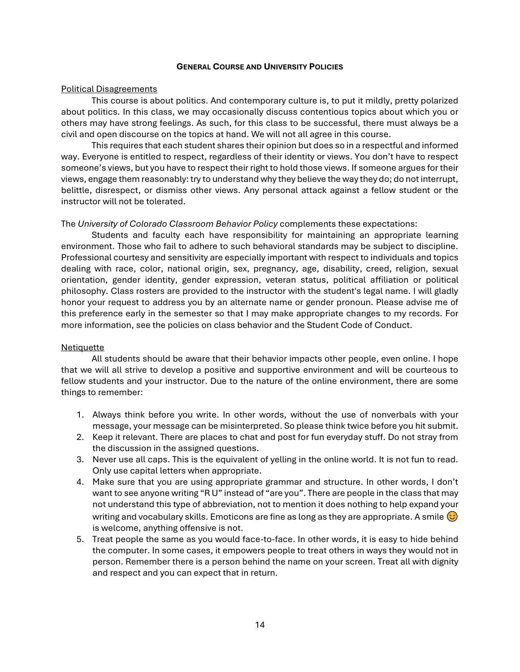#### **GENERAL COURSE AND UNIVERSITY POLICIES**

## Political Disagreements

This course is about politics. And contemporary culture is, to put it mildly, pretty polarized about politics. In this class, we may occasionally discuss contentious topics about which you or others may have strong feelings. As such, for this class to be successful, there must always be a civil and open discourse on the topics at hand. We will not all agree in this course.

This requires that each student shares their opinion but does so in a respectful and informed way. Everyone is entitled to respect, regardless of their identity or views. You don't have to respect someone's views, but you have to respect their right to hold those views. If someone argues for their views, engage them reasonably: try to understand why they believe the way they do; do not interrupt, belittle, disrespect, or dismiss other views. Any personal attack against a fellow student or the instructor will not be tolerated.

# The *University of Colorado Classroom Behavior Policy* complements these expectations:

Students and faculty each have responsibility for maintaining an appropriate learning environment. Those who fail to adhere to such behavioral standards may be subject to discipline. Professional courtesy and sensitivity are especially important with respect to individuals and topics dealing with race, color, national origin, sex, pregnancy, age, disability, creed, religion, sexual orientation, gender identity, gender expression, veteran status, political affiliation or political philosophy. Class rosters are provided to the instructor with the student's legal name. I will gladly honor your request to address you by an alternate name or gender pronoun. Please advise me of this preference early in the semester so that I may make appropriate changes to my records. For more information, see the policies on class behavior and the Student Code of Conduct.

# **Netiquette**

All students should be aware that their behavior impacts other people, even online. I hope that we will all strive to develop a positive and supportive environment and will be courteous to fellow students and your instructor. Due to the nature of the online environment, there are some things to remember:

- 1. Always think before you write. In other words, without the use of nonverbals with your message, your message can be misinterpreted. So please think twice before you hit submit.
- 2. Keep it relevant. There are places to chat and post for fun everyday stuff. Do not stray from the discussion in the assigned questions.
- 3. Never use all caps. This is the equivalent of yelling in the online world. It is not fun to read. Only use capital letters when appropriate.
- 4. Make sure that you are using appropriate grammar and structure. In other words, I don't want to see anyone writing "R U" instead of "are you". There are people in the class that may not understand this type of abbreviation, not to mention it does nothing to help expand your writing and vocabulary skills. Emoticons are fine as long as they are appropriate. A smile  $\odot$ is welcome, anything offensive is not.
- 5. Treat people the same as you would face-to-face. In other words, it is easy to hide behind the computer. In some cases, it empowers people to treat others in ways they would not in person. Remember there is a person behind the name on your screen. Treat all with dignity and respect and you can expect that in return.